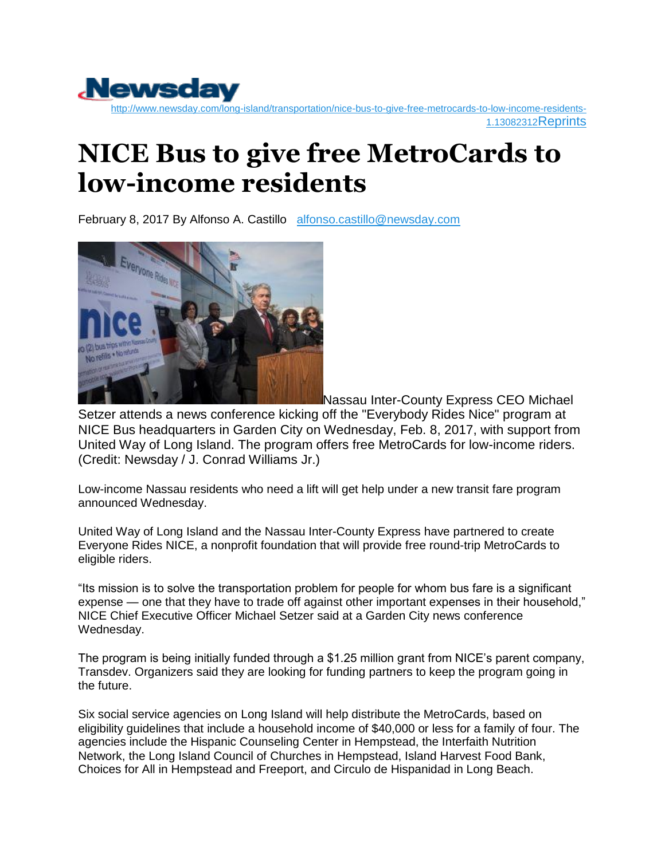

## **NICE Bus to give free MetroCards to low-income residents**

February 8, 2017 By Alfonso A. Castillo [alfonso.castillo@newsday.com](mailto:alfonso.castillo@newsday.com?subject=newsday.com)



Nassau Inter-County Express CEO Michael

Setzer attends a news conference kicking off the "Everybody Rides Nice" program at NICE Bus headquarters in Garden City on Wednesday, Feb. 8, 2017, with support from United Way of Long Island. The program offers free MetroCards for low-income riders. (Credit: Newsday / J. Conrad Williams Jr.)

Low-income Nassau residents who need a lift will get help under a new transit fare program announced Wednesday.

United Way of Long Island and the Nassau Inter-County Express have partnered to create Everyone Rides NICE, a nonprofit foundation that will provide free round-trip MetroCards to eligible riders.

"Its mission is to solve the transportation problem for people for whom bus fare is a significant expense — one that they have to trade off against other important expenses in their household," NICE Chief Executive Officer Michael Setzer said at a Garden City news conference Wednesday.

The program is being initially funded through a \$1.25 million grant from NICE's parent company, Transdev. Organizers said they are looking for funding partners to keep the program going in the future.

Six social service agencies on Long Island will help distribute the MetroCards, based on eligibility guidelines that include a household income of \$40,000 or less for a family of four. The agencies include the Hispanic Counseling Center in Hempstead, the Interfaith Nutrition Network, the Long Island Council of Churches in Hempstead, Island Harvest Food Bank, Choices for All in Hempstead and Freeport, and Circulo de Hispanidad in Long Beach.